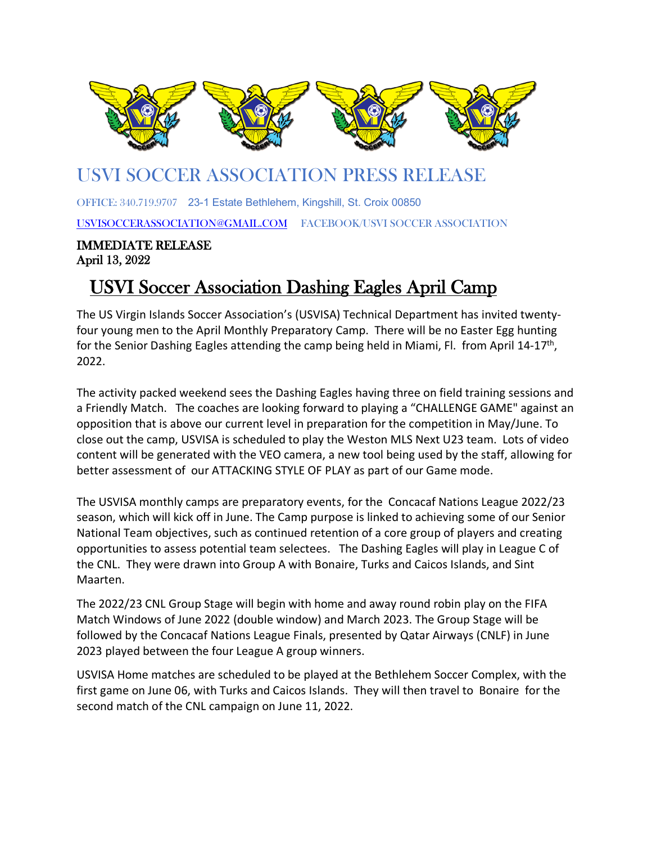

## U[SVI SO](https://en.wikipedia.org/wiki/United_States_Virgin_Islands_national_soccer_team)CCER [ASSO](https://en.wikipedia.org/wiki/United_States_Virgin_Islands_national_soccer_team)CIATI[ON PR](https://en.wikipedia.org/wiki/United_States_Virgin_Islands_national_soccer_team)ESS RE[LEASE](https://en.wikipedia.org/wiki/United_States_Virgin_Islands_national_soccer_team) l

OF[FICE: 340](https://creativecommons.org/licenses/by-sa/3.0/).719.9707 23-[1 Estate](https://creativecommons.org/licenses/by-sa/3.0/) Bethlehem, Kin[gshill, St](https://creativecommons.org/licenses/by-sa/3.0/). Croix 00850

[USVISOCCERASSOCIATION@GMAIL.COM](mailto:USVISOCCERASSOCIATION@GMAIL.COM) FACEBOOK/USVI SOCCER ASSOCIATION

### IMMEDIATE RELEASE April 13, 2022

# USVI Soccer Association Dashing Eagles April Camp

The US Virgin Islands Soccer Association's (USVISA) Technical Department has invited twentyfour young men to the April Monthly Preparatory Camp. There will be no Easter Egg hunting for the Senior Dashing Eagles attending the camp being held in Miami, Fl. from April 14-17<sup>th</sup>, 2022.

The activity packed weekend sees the Dashing Eagles having three on field training sessions and a Friendly Match. The coaches are looking forward to playing a "CHALLENGE GAME" against an opposition that is above our current level in preparation for the competition in May/June. To close out the camp, USVISA is scheduled to play the Weston MLS Next U23 team. Lots of video content will be generated with the VEO camera, a new tool being used by the staff, allowing for better assessment of our ATTACKING STYLE OF PLAY as part of our Game mode.

The USVISA monthly camps are preparatory events, for the Concacaf Nations League 2022/23 season, which will kick off in June. The Camp purpose is linked to achieving some of our Senior National Team objectives, such as continued retention of a core group of players and creating opportunities to assess potential team selectees. The Dashing Eagles will play in League C of the CNL. They were drawn into Group A with Bonaire, Turks and Caicos Islands, and Sint Maarten.

The 2022/23 CNL Group Stage will begin with home and away round robin play on the FIFA Match Windows of June 2022 (double window) and March 2023. The Group Stage will be followed by the Concacaf Nations League Finals, presented by Qatar Airways (CNLF) in June 2023 played between the four League A group winners.

USVISA Home matches are scheduled to be played at the Bethlehem Soccer Complex, with the first game on June 06, with Turks and Caicos Islands. They will then travel to Bonaire for the second match of the CNL campaign on June 11, 2022.